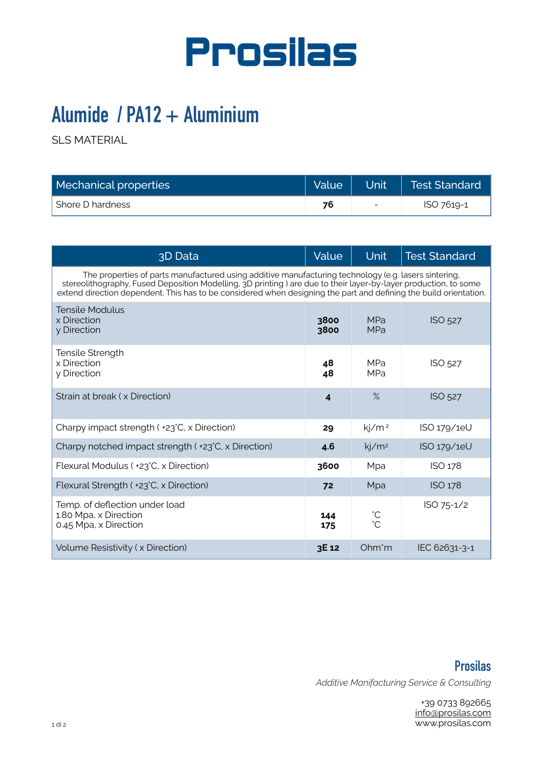

## **Alumide / PA12 + Aluminium**

SLS MATERIAL

| Mechanical properties |    |                          | Value   Unit   Test Standard |
|-----------------------|----|--------------------------|------------------------------|
| Shore D hardness      | 76 | $\overline{\phantom{0}}$ | ISO 7619-1                   |

| 3D Data                                                                                                                                                                                                                                                                                                                                       | Value                   | <b>Unit</b>              | <b>Test Standard</b> |  |  |
|-----------------------------------------------------------------------------------------------------------------------------------------------------------------------------------------------------------------------------------------------------------------------------------------------------------------------------------------------|-------------------------|--------------------------|----------------------|--|--|
| The properties of parts manufactured using additive manufacturing technology (e.g. lasers sintering,<br>stereolithography, Fused Deposition Modelling, 3D printing ) are due to their layer-by-layer production, to some<br>extend direction dependent. This has to be considered when designing the part and defining the build orientation. |                         |                          |                      |  |  |
| Tensile Modulus<br>x Direction<br>y Direction                                                                                                                                                                                                                                                                                                 | 3800<br>3800            | <b>MPa</b><br><b>MPa</b> | ISO 527              |  |  |
| Tensile Strength<br>x Direction<br>y Direction                                                                                                                                                                                                                                                                                                | 48<br>48                | <b>MPa</b><br><b>MPa</b> | ISO 527              |  |  |
| Strain at break (x Direction)                                                                                                                                                                                                                                                                                                                 | $\overline{\mathbf{4}}$ | $\%$                     | ISO 527              |  |  |
| Charpy impact strength ( +23°C, x Direction)                                                                                                                                                                                                                                                                                                  | 29                      | kj/m <sup>2</sup>        | ISO 179/1eU          |  |  |
| Charpy notched impact strength ( +23°C, x Direction)                                                                                                                                                                                                                                                                                          | 4.6                     | kj/m <sup>2</sup>        | ISO 179/1eU          |  |  |
| Flexural Modulus ( +23°C, x Direction)                                                                                                                                                                                                                                                                                                        | 3600                    | Mpa                      | ISO 178              |  |  |
| Flexural Strength ( +23°C, x Direction)                                                                                                                                                                                                                                                                                                       | 72                      | Mpa                      | ISO 178              |  |  |
| Temp. of deflection under load<br>1.80 Mpa, x Direction<br>0.45 Mpa, x Direction                                                                                                                                                                                                                                                              | 144<br>175              | °C<br>°C                 | ISO 75-1/2           |  |  |
| Volume Resistivity (x Direction)                                                                                                                                                                                                                                                                                                              | 3E 12                   | Ohm'm                    | IEC 62631-3-1        |  |  |

**Prosilas**  *Additive Manifacturing Service & Consulting* 

> +39 0733 892665 [info@prosilas.com](mailto:info@prosilas.com) www.prosilas.com